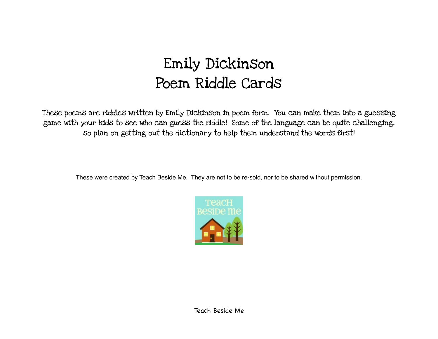## Emily Dickinson Poem Riddle Cards

These poems are riddles written by Emily Dickinson in poem form. You can make them into a guessing game with your kids to see who can guess the riddle! Some of the language can be quite challenging, so plan on getting out the dictionary to help them understand the words first!

These were created by Teach Beside Me. They are not to be re-sold, nor to be shared without permission.

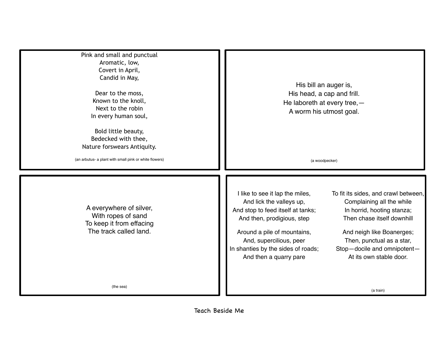His bill an auger is, His head, a cap and frill. He laboreth at every tree,— A worm his utmost goal. (a woodpecker) Pink and small and punctual Aromatic, low, Covert in April, Candid in May, Dear to the moss, Known to the knoll, Next to the robin In every human soul, Bold little beauty, Bedecked with thee, Nature forswears Antiquity. (an arbutus- a plant with small pink or white flowers) I like to see it lap the miles, And lick the valleys up, And stop to feed itself at tanks; And then, prodigious, step Around a pile of mountains, And, supercilious, peer In shanties by the sides of roads; And then a quarry pare To fit its sides, and crawl between, Complaining all the while In horrid, hooting stanza; Then chase itself downhill And neigh like Boanerges; Then, punctual as a star, Stop—docile and omnipotent— At its own stable door. (a train) A everywhere of silver, With ropes of sand To keep it from effacing The track called land. (the sea)